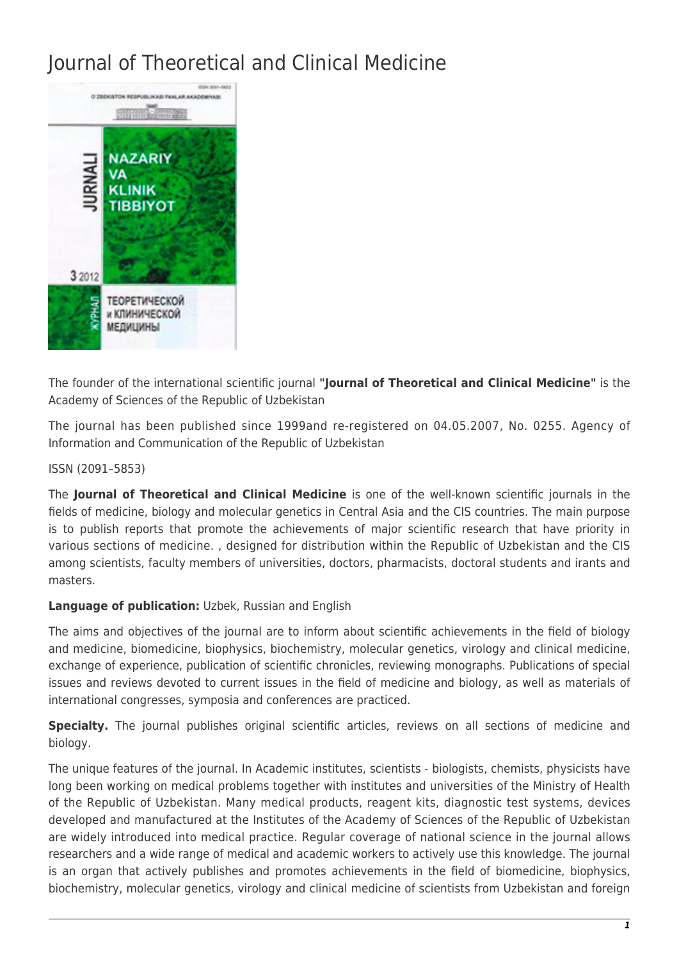## Journal of Theoretical and Clinical Medicine



The founder of the international scientific journal **"Journal of Theoretical and Clinical Medicine"** is the Academy of Sciences of the Republic of Uzbekistan

The journal has been published since 1999and re-registered on 04.05.2007, No. 0255. Agency of Information and Communication of the Republic of Uzbekistan

ISSN (2091–5853)

The **Journal of Theoretical and Clinical Medicine** is one of the well-known scientific journals in the fields of medicine, biology and molecular genetics in Central Asia and the CIS countries. The main purpose is to publish reports that promote the achievements of major scientific research that have priority in various sections of medicine. , designed for distribution within the Republic of Uzbekistan and the CIS among scientists, faculty members of universities, doctors, pharmacists, doctoral students and irants and masters.

## **Language of publication:** Uzbek, Russian and English

The aims and objectives of the journal are to inform about scientific achievements in the field of biology and medicine, biomedicine, biophysics, biochemistry, molecular genetics, virology and clinical medicine, exchange of experience, publication of scientific chronicles, reviewing monographs. Publications of special issues and reviews devoted to current issues in the field of medicine and biology, as well as materials of international congresses, symposia and conferences are practiced.

**Specialty.** The journal publishes original scientific articles, reviews on all sections of medicine and biology.

The unique features of the journal. In Academic institutes, scientists - biologists, chemists, physicists have long been working on medical problems together with institutes and universities of the Ministry of Health of the Republic of Uzbekistan. Many medical products, reagent kits, diagnostic test systems, devices developed and manufactured at the Institutes of the Academy of Sciences of the Republic of Uzbekistan are widely introduced into medical practice. Regular coverage of national science in the journal allows researchers and a wide range of medical and academic workers to actively use this knowledge. The journal is an organ that actively publishes and promotes achievements in the field of biomedicine, biophysics, biochemistry, molecular genetics, virology and clinical medicine of scientists from Uzbekistan and foreign